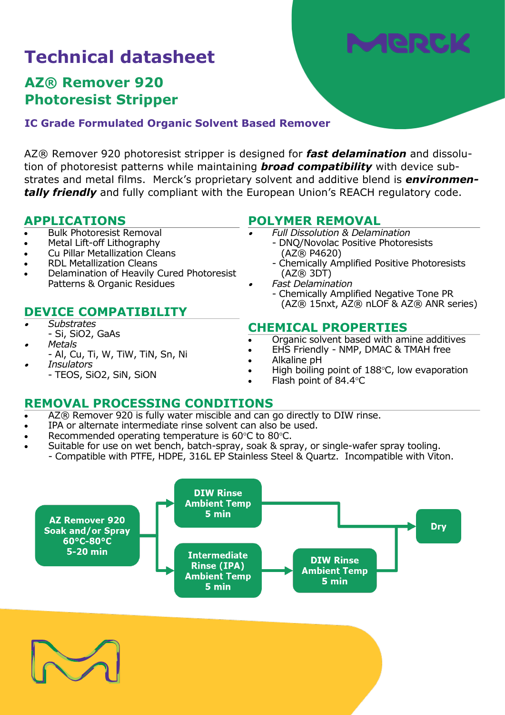# Wen

## **Technical datasheet**

## **AZ® Remover 920 Photoresist Stripper**

**IC Grade Formulated Organic Solvent Based Remover**

AZ® Remover 920 photoresist stripper is designed for *fast delamination* and dissolution of photoresist patterns while maintaining *broad compatibility* with device substrates and metal films. Merck's proprietary solvent and additive blend is *environmen***tally friendly** and fully compliant with the European Union's REACH regulatory code.

•

•

#### **APPLICATIONS**

- Bulk Photoresist Removal
- Metal Lift-off Lithography
- Cu Pillar Metallization Cleans
- RDL Metallization Cleans
- Delamination of Heavily Cured Photoresist Patterns & Organic Residues

- •*Substrates*
- Si, SiO2, GaAs •*Metals*
- Al, Cu, Ti, W, TiW, TiN, Sn, Ni •
	- *Insulators*

#### - TEOS, SiO2, SiN, SiON

#### **POLYMER REMOVAL**

- *Full Dissolution & Delamination*
	- DNQ/Novolac Positive Photoresists (AZ® P4620)
	- Chemically Amplified Positive Photoresists (AZ® 3DT)
- *Fast Delamination*
- Chemically Amplified Negative Tone PR (AZ® 15nxt, AZ® nLOF & AZ® ANR series) **DEVICE COMPATIBILITY**

#### **CHEMICAL PROPERTIES**

- Organic solvent based with amine additives
- EHS Friendly NMP, DMAC & TMAH free
- Alkaline pH
- High boiling point of 188°C, low evaporation
- Flash point of 84.4°C

### **REMOVAL PROCESSING CONDITIONS**

- AZ® Remover 920 is fully water miscible and can go directly to DIW rinse.
- IPA or alternate intermediate rinse solvent can also be used.
- Recommended operating temperature is 60°C to 80°C.
- Suitable for use on wet bench, batch-spray, soak & spray, or single-wafer spray tooling. - Compatible with PTFE, HDPE, 316L EP Stainless Steel & Quartz. Incompatible with Viton.